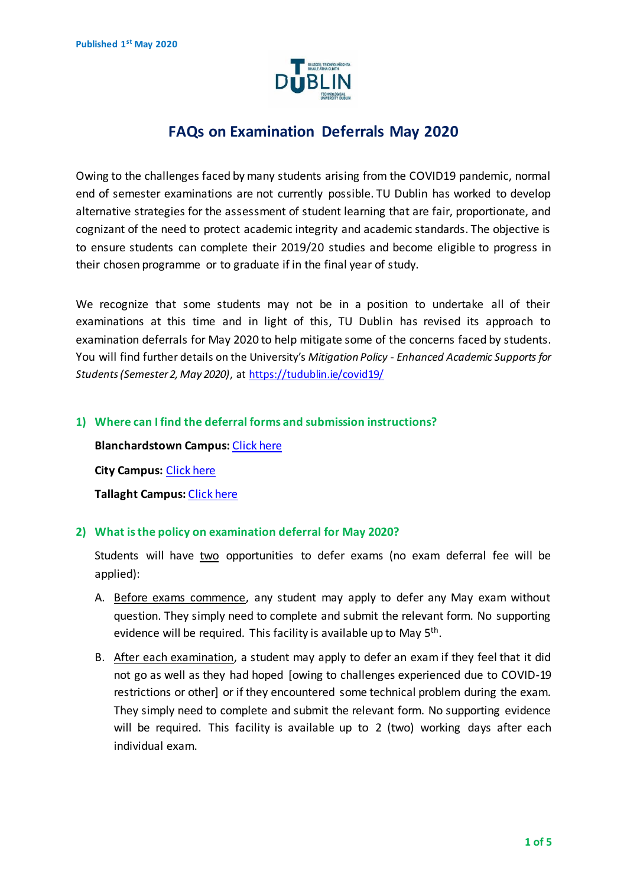

Owing to the challenges faced by many students arising from the COVID19 pandemic, normal end of semester examinations are not currently possible. TU Dublin has worked to develop alternative strategies for the assessment of student learning that are fair, proportionate, and cognizant of the need to protect academic integrity and academic standards. The objective is to ensure students can complete their 2019/20 studies and become eligible to progress in their chosen programme or to graduate if in the final year of study.

We recognize that some students may not be in a position to undertake all of their examinations at this time and in light of this, TU Dublin has revised its approach to examination deferrals for May 2020 to help mitigate some of the concerns faced by students. You will find further details on the University's *Mitigation Policy - Enhanced Academic Supports for Students (Semester 2, May 2020)*, at <https://tudublin.ie/covid19/>

### **1) Where can I find the deferral forms and submission instructions?**

**Blanchardstown Campus:** [Click here](http://www.bit.ly/2RR4xGR) **City Campus:** [Click here](http://www.dit.ie/qualityassuranceandacademicprogrammerecords/student-assessment-regulations/general/) **Tallaght Campus:** [Click here](https://www.it-tallaght.ie/examdeferral)

### **2) What is the policy on examination deferral for May 2020?**

Students will have two opportunities to defer exams (no exam deferral fee will be applied):

- A. Before exams commence, any student may apply to defer any May exam without question. They simply need to complete and submit the relevant form. No supporting evidence will be required. This facility is available up to May 5<sup>th</sup>.
- B. After each examination, a student may apply to defer an exam if they feel that it did not go as well as they had hoped [owing to challenges experienced due to COVID-19 restrictions or other] or if they encountered some technical problem during the exam. They simply need to complete and submit the relevant form. No supporting evidence will be required. This facility is available up to 2 (two) working days after each individual exam.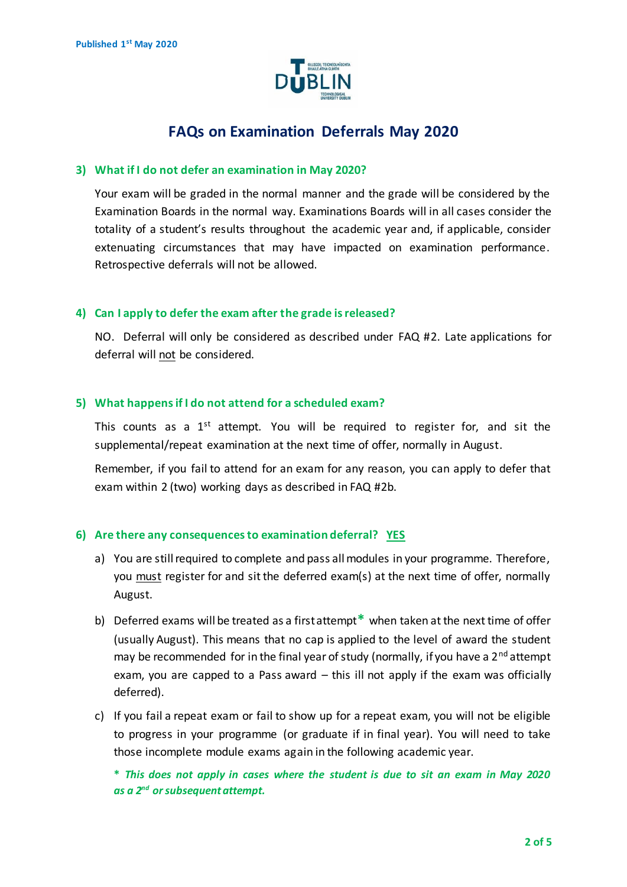

#### **3) What if I do not defer an examination in May 2020?**

Your exam will be graded in the normal manner and the grade will be considered by the Examination Boards in the normal way. Examinations Boards will in all cases consider the totality of a student's results throughout the academic year and, if applicable, consider extenuating circumstances that may have impacted on examination performance. Retrospective deferrals will not be allowed.

#### **4) Can I apply to defer the exam after the grade is released?**

NO. Deferral will only be considered as described under FAQ #2. Late applications for deferral will not be considered.

#### **5) What happens if I do not attend for a scheduled exam?**

This counts as a  $1<sup>st</sup>$  attempt. You will be required to register for, and sit the supplemental/repeat examination at the next time of offer, normally in August.

Remember, if you fail to attend for an exam for any reason, you can apply to defer that exam within 2 (two) working days as described in FAQ #2b.

#### **6) Are there any consequences to examination deferral? YES**

- a) You are still required to complete and pass all modules in your programme. Therefore, you must register for and sit the deferred exam(s) at the next time of offer, normally August.
- b) Deferred exams will be treated as a first attempt**\*** when taken at the next time of offer (usually August). This means that no cap is applied to the level of award the student may be recommended for in the final year of study (normally, if you have a 2<sup>nd</sup> attempt exam, you are capped to a Pass award – this ill not apply if the exam was officially deferred).
- c) If you fail a repeat exam or fail to show up for a repeat exam, you will not be eligible to progress in your programme (or graduate if in final year). You will need to take those incomplete module exams again in the following academic year.

**\*** *This does not apply in cases where the student is due to sit an exam in May 2020 as a 2nd or subsequent attempt.*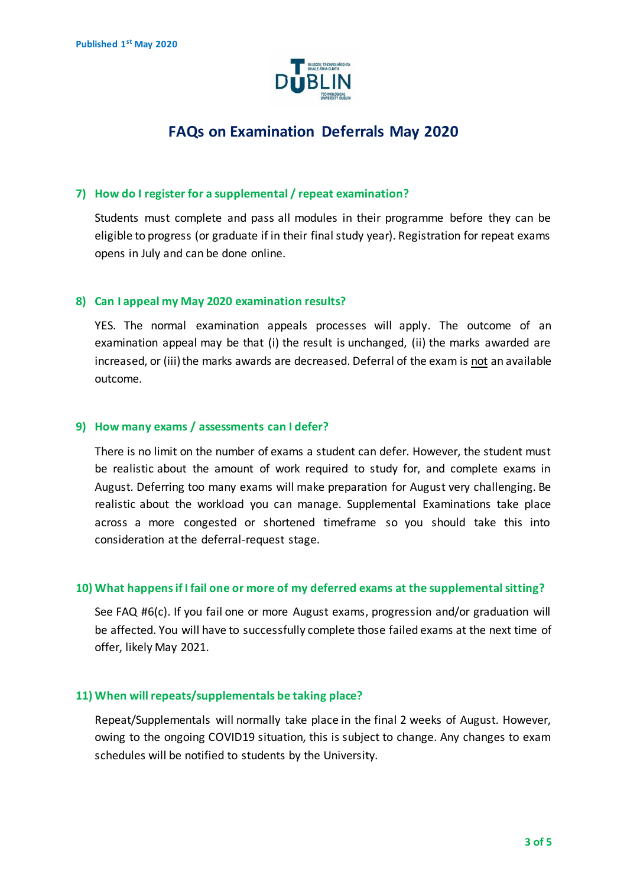

#### **7) How do I register for a supplemental / repeat examination?**

Students must complete and pass all modules in their programme before they can be eligible to progress (or graduate if in their final study year). Registration for repeat exams opens in July and can be done online.

#### **8) Can I appeal my May 2020 examination results?**

YES. The normal examination appeals processes will apply. The outcome of an examination appeal may be that (i) the result is unchanged, (ii) the marks awarded are increased, or (iii) the marks awards are decreased. Deferral of the exam is not an available outcome.

#### **9) How many exams / assessments can I defer?**

There is no limit on the number of exams a student can defer. However, the student must be realistic about the amount of work required to study for, and complete exams in August. Deferring too many exams will make preparation for August very challenging. Be realistic about the workload you can manage. Supplemental Examinations take place across a more congested or shortened timeframe so you should take this into consideration at the deferral-request stage.

#### **10) What happens if I fail one or more of my deferred exams at the supplemental sitting?**

See FAQ #6(c). If you fail one or more August exams, progression and/or graduation will be affected. You will have to successfully complete those failed exams at the next time of offer, likely May 2021.

#### **11) When will repeats/supplementals be taking place?**

Repeat/Supplementals will normally take place in the final 2 weeks of August. However, owing to the ongoing COVID19 situation, this is subject to change. Any changes to exam schedules will be notified to students by the University.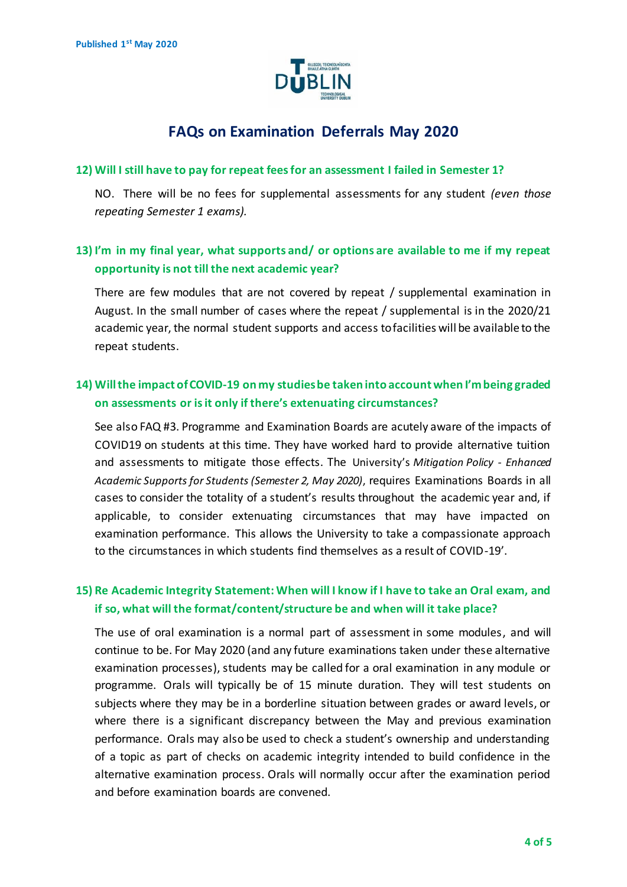

#### **12) Will I still have to pay for repeat fees for an assessment I failed in Semester 1?**

NO. There will be no fees for supplemental assessments for any student *(even those repeating Semester 1 exams).*

## **13) I'm in my final year, what supports and/ or options are available to me if my repeat opportunity is not till the next academic year?**

There are few modules that are not covered by repeat / supplemental examination in August. In the small number of cases where the repeat / supplemental is in the 2020/21 academic year, the normal student supports and access to facilities will be available to the repeat students.

## **14) Will the impact of COVID-19 on my studies be taken into account when I'm being graded on assessments or is it only if there's extenuating circumstances?**

See also FAQ #3. Programme and Examination Boards are acutely aware of the impacts of COVID19 on students at this time. They have worked hard to provide alternative tuition and assessments to mitigate those effects. The University's *Mitigation Policy - Enhanced Academic Supports for Students (Semester 2, May 2020)*, requires Examinations Boards in all cases to consider the totality of a student's results throughout the academic year and, if applicable, to consider extenuating circumstances that may have impacted on examination performance. This allows the University to take a compassionate approach to the circumstances in which students find themselves as a result of COVID-19'.

## **15) Re Academic Integrity Statement: When will I know if I have to take an Oral exam, and if so, what will the format/content/structure be and when will it take place?**

The use of oral examination is a normal part of assessment in some modules, and will continue to be. For May 2020 (and any future examinations taken under these alternative examination processes), students may be called for a oral examination in any module or programme. Orals will typically be of 15 minute duration. They will test students on subjects where they may be in a borderline situation between grades or award levels, or where there is a significant discrepancy between the May and previous examination performance. Orals may also be used to check a student's ownership and understanding of a topic as part of checks on academic integrity intended to build confidence in the alternative examination process. Orals will normally occur after the examination period and before examination boards are convened.